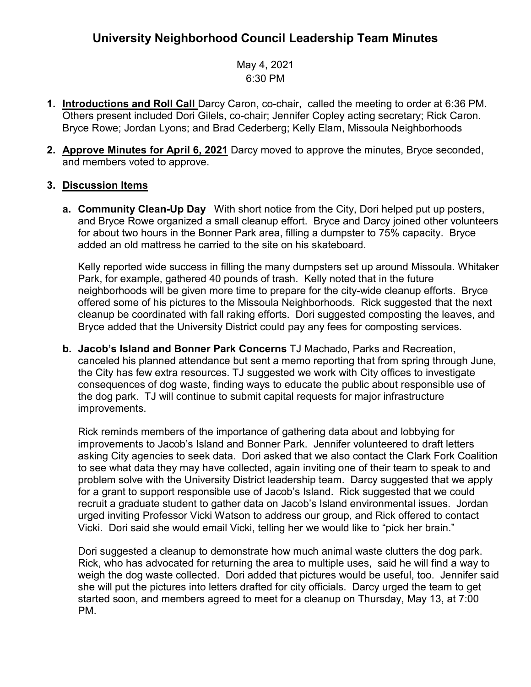## **University Neighborhood Council Leadership Team Minutes**

May 4, 2021 6:30 PM

- **1. Introductions and Roll Call** Darcy Caron, co-chair, called the meeting to order at 6:36 PM. Others present included Dori Gilels, co-chair; Jennifer Copley acting secretary; Rick Caron. Bryce Rowe; Jordan Lyons; and Brad Cederberg; Kelly Elam, Missoula Neighborhoods
- **2. Approve Minutes for April 6, 2021** Darcy moved to approve the minutes, Bryce seconded, and members voted to approve.

## **3. Discussion Items**

**a. Community Clean-Up Day** With short notice from the City, Dori helped put up posters, and Bryce Rowe organized a small cleanup effort. Bryce and Darcy joined other volunteers for about two hours in the Bonner Park area, filling a dumpster to 75% capacity. Bryce added an old mattress he carried to the site on his skateboard.

Kelly reported wide success in filling the many dumpsters set up around Missoula. Whitaker Park, for example, gathered 40 pounds of trash. Kelly noted that in the future neighborhoods will be given more time to prepare for the city-wide cleanup efforts. Bryce offered some of his pictures to the Missoula Neighborhoods. Rick suggested that the next cleanup be coordinated with fall raking efforts. Dori suggested composting the leaves, and Bryce added that the University District could pay any fees for composting services.

**b. Jacob's Island and Bonner Park Concerns** TJ Machado, Parks and Recreation, canceled his planned attendance but sent a memo reporting that from spring through June, the City has few extra resources. TJ suggested we work with City offices to investigate consequences of dog waste, finding ways to educate the public about responsible use of the dog park. TJ will continue to submit capital requests for major infrastructure improvements.

Rick reminds members of the importance of gathering data about and lobbying for improvements to Jacob's Island and Bonner Park. Jennifer volunteered to draft letters asking City agencies to seek data. Dori asked that we also contact the Clark Fork Coalition to see what data they may have collected, again inviting one of their team to speak to and problem solve with the University District leadership team. Darcy suggested that we apply for a grant to support responsible use of Jacob's Island. Rick suggested that we could recruit a graduate student to gather data on Jacob's Island environmental issues. Jordan urged inviting Professor Vicki Watson to address our group, and Rick offered to contact Vicki. Dori said she would email Vicki, telling her we would like to "pick her brain."

Dori suggested a cleanup to demonstrate how much animal waste clutters the dog park. Rick, who has advocated for returning the area to multiple uses, said he will find a way to weigh the dog waste collected. Dori added that pictures would be useful, too. Jennifer said she will put the pictures into letters drafted for city officials. Darcy urged the team to get started soon, and members agreed to meet for a cleanup on Thursday, May 13, at 7:00 PM.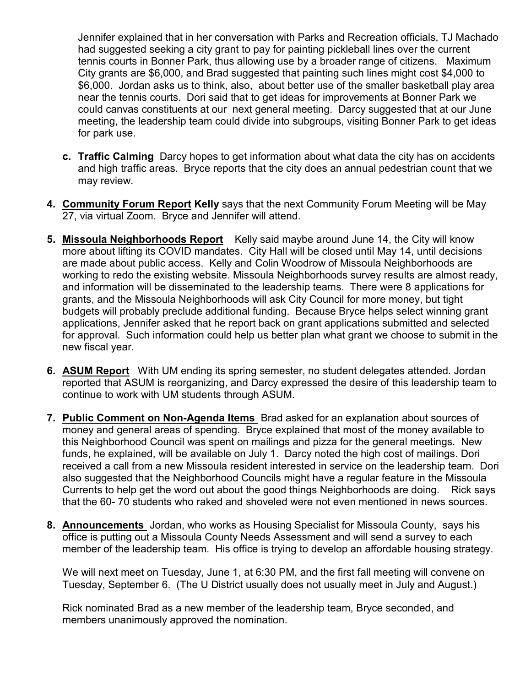Jennifer explained that in her conversation with Parks and Recreation officials, TJ Machado had suggested seeking a city grant to pay for painting pickleball lines over the current tennis courts in Bonner Park, thus allowing use by a broader range of citizens. Maximum City grants are \$6,000, and Brad suggested that painting such lines might cost \$4,000 to \$6,000. Jordan asks us to think, also, about better use of the smaller basketball play area near the tennis courts. Dori said that to get ideas for improvements at Bonner Park we could canvas constituents at our next general meeting. Darcy suggested that at our June meeting, the leadership team could divide into subgroups, visiting Bonner Park to get ideas for park use.

- **c. Traffic Calming** Darcy hopes to get information about what data the city has on accidents and high traffic areas. Bryce reports that the city does an annual pedestrian count that we may review.
- **4. Community Forum Report Kelly** says that the next Community Forum Meeting will be May 27, via virtual Zoom. Bryce and Jennifer will attend.
- **5. Missoula Neighborhoods Report** Kelly said maybe around June 14, the City will know more about lifting its COVID mandates. City Hall will be closed until May 14, until decisions are made about public access. Kelly and Colin Woodrow of Missoula Neighborhoods are working to redo the existing website. Missoula Neighborhoods survey results are almost ready, and information will be disseminated to the leadership teams. There were 8 applications for grants, and the Missoula Neighborhoods will ask City Council for more money, but tight budgets will probably preclude additional funding. Because Bryce helps select winning grant applications, Jennifer asked that he report back on grant applications submitted and selected for approval. Such information could help us better plan what grant we choose to submit in the new fiscal year.
- **6. ASUM Report** With UM ending its spring semester, no student delegates attended. Jordan reported that ASUM is reorganizing, and Darcy expressed the desire of this leadership team to continue to work with UM students through ASUM.
- **7. Public Comment on Non-Agenda Items** Brad asked for an explanation about sources of money and general areas of spending. Bryce explained that most of the money available to this Neighborhood Council was spent on mailings and pizza for the general meetings. New funds, he explained, will be available on July 1. Darcy noted the high cost of mailings. Dori received a call from a new Missoula resident interested in service on the leadership team. Dori also suggested that the Neighborhood Councils might have a regular feature in the Missoula Currents to help get the word out about the good things Neighborhoods are doing. Rick says that the 60- 70 students who raked and shoveled were not even mentioned in news sources.
- **8. Announcements** Jordan, who works as Housing Specialist for Missoula County, says his office is putting out a Missoula County Needs Assessment and will send a survey to each member of the leadership team. His office is trying to develop an affordable housing strategy.

We will next meet on Tuesday, June 1, at 6:30 PM, and the first fall meeting will convene on Tuesday, September 6. (The U District usually does not usually meet in July and August.)

Rick nominated Brad as a new member of the leadership team, Bryce seconded, and members unanimously approved the nomination.